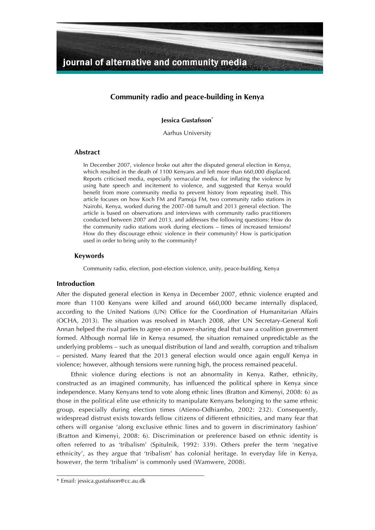# **Community radio and peace-building in Kenya**

**Jessica Gustafsson\***

Aarhus University

## **Abstract**

In December 2007, violence broke out after the disputed general election in Kenya, which resulted in the death of 1100 Kenyans and left more than 660,000 displaced. Reports criticised media, especially vernacular media, for inflating the violence by using hate speech and incitement to violence, and suggested that Kenya would benefit from more community media to prevent history from repeating itself. This article focuses on how Koch FM and Pamoja FM, two community radio stations in Nairobi, Kenya, worked during the 2007–08 tumult and 2013 general election. The article is based on observations and interviews with community radio practitioners conducted between 2007 and 2013, and addresses the following questions: How do the community radio stations work during elections – times of increased tensions? How do they discourage ethnic violence in their community? How is participation used in order to bring unity to the community?

#### **Keywords**

Community radio, election, post-election violence, unity, peace-building, Kenya

#### **Introduction**

After the disputed general election in Kenya in December 2007, ethnic violence erupted and more than 1100 Kenyans were killed and around 660,000 became internally displaced, according to the United Nations (UN) Office for the Coordination of Humanitarian Affairs (OCHA, 2013). The situation was resolved in March 2008, after UN Secretary-General Kofi Annan helped the rival parties to agree on a power-sharing deal that saw a coalition government formed. Although normal life in Kenya resumed, the situation remained unpredictable as the underlying problems – such as unequal distribution of land and wealth, corruption and tribalism – persisted. Many feared that the 2013 general election would once again engulf Kenya in violence; however, although tensions were running high, the process remained peaceful.

Ethnic violence during elections is not an abnormality in Kenya. Rather, ethnicity, constructed as an imagined community, has influenced the political sphere in Kenya since independence. Many Kenyans tend to vote along ethnic lines (Bratton and Kimenyi, 2008: 6) as those in the political elite use ethnicity to manipulate Kenyans belonging to the same ethnic group, especially during election times (Atieno-Odhiambo, 2002: 232). Consequently, widespread distrust exists towards fellow citizens of different ethnicities, and many fear that others will organise 'along exclusive ethnic lines and to govern in discriminatory fashion' (Bratton and Kimenyi, 2008: 6). Discrimination or preference based on ethnic identity is often referred to as 'tribalism' (Spitulnik, 1992: 339). Others prefer the term 'negative ethnicity', as they argue that 'tribalism' has colonial heritage. In everyday life in Kenya, however, the term 'tribalism' is commonly used (Wamwere, 2008).

 $\mathcal{L}_\text{max}$  and  $\mathcal{L}_\text{max}$  and  $\mathcal{L}_\text{max}$  and  $\mathcal{L}_\text{max}$ 

<sup>\*</sup> Email: jessica.gustafsson@cc.au.dk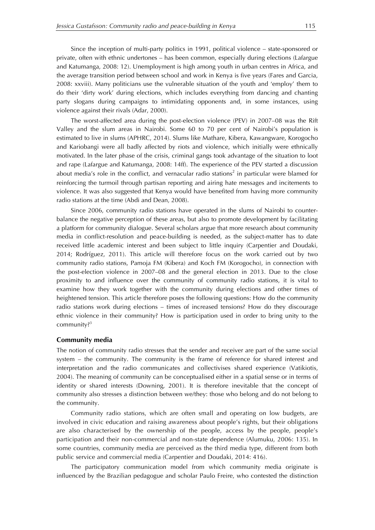Since the inception of multi-party politics in 1991, political violence – state-sponsored or private, often with ethnic undertones – has been common, especially during elections (Lafargue and Katumanga, 2008: 12). Unemployment is high among youth in urban centres in Africa, and the average transition period between school and work in Kenya is five years (Fares and Garcia, 2008: xxviii). Many politicians use the vulnerable situation of the youth and 'employ' them to do their 'dirty work' during elections, which includes everything from dancing and chanting party slogans during campaigns to intimidating opponents and, in some instances, using violence against their rivals (Adar, 2000).

The worst-affected area during the post-election violence (PEV) in 2007–08 was the Rift Valley and the slum areas in Nairobi. Some 60 to 70 per cent of Nairobi's population is estimated to live in slums (APHRC, 2014). Slums like Mathare, Kibera, Kawangware, Korogocho and Kariobangi were all badly affected by riots and violence, which initially were ethnically motivated. In the later phase of the crisis, criminal gangs took advantage of the situation to loot and rape (Lafargue and Katumanga, 2008: 14ff). The experience of the PEV started a discussion about media's role in the conflict, and vernacular radio stations<sup>2</sup> in particular were blamed for reinforcing the turmoil through partisan reporting and airing hate messages and incitements to violence. It was also suggested that Kenya would have benefited from having more community radio stations at the time (Abdi and Dean, 2008).

Since 2006, community radio stations have operated in the slums of Nairobi to counterbalance the negative perception of these areas, but also to promote development by facilitating a platform for community dialogue. Several scholars argue that more research about community media in conflict-resolution and peace-building is needed, as the subject-matter has to date received little academic interest and been subject to little inquiry (Carpentier and Doudaki, 2014; Rodríguez, 2011). This article will therefore focus on the work carried out by two community radio stations, Pamoja FM (Kibera) and Koch FM (Korogocho), in connection with the post-election violence in 2007–08 and the general election in 2013. Due to the close proximity to and influence over the community of community radio stations, it is vital to examine how they work together with the community during elections and other times of heightened tension. This article therefore poses the following questions: How do the community radio stations work during elections – times of increased tensions? How do they discourage ethnic violence in their community? How is participation used in order to bring unity to the community?<sup>3</sup>

#### **Community media**

The notion of community radio stresses that the sender and receiver are part of the same social system – the community. The community is the frame of reference for shared interest and interpretation and the radio communicates and collectivises shared experience (Vatikiotis, 2004). The meaning of community can be conceptualised either in a spatial sense or in terms of identity or shared interests (Downing, 2001). It is therefore inevitable that the concept of community also stresses a distinction between we/they: those who belong and do not belong to the community.

Community radio stations, which are often small and operating on low budgets, are involved in civic education and raising awareness about people's rights, but their obligations are also characterised by the ownership of the people, access by the people, people's participation and their non-commercial and non-state dependence (Alumuku, 2006: 135). In some countries, community media are perceived as the third media type, different from both public service and commercial media (Carpentier and Doudaki, 2014: 416).

The participatory communication model from which community media originate is influenced by the Brazilian pedagogue and scholar Paulo Freire, who contested the distinction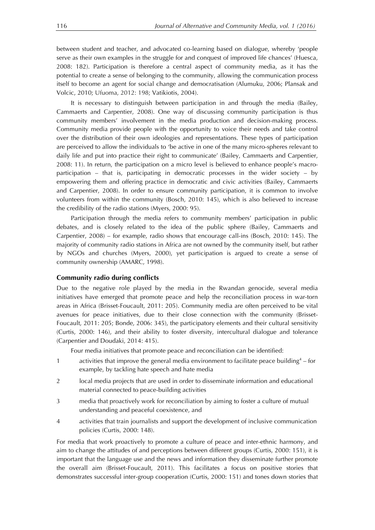between student and teacher, and advocated co-learning based on dialogue, whereby 'people serve as their own examples in the struggle for and conquest of improved life chances' (Huesca, 2008: 182). Participation is therefore a central aspect of community media, as it has the potential to create a sense of belonging to the community, allowing the communication process itself to become an agent for social change and democratisation (Alumuku, 2006; Plansak and Volcic, 2010; Ufuoma, 2012: 198; Vatikiotis, 2004).

It is necessary to distinguish between participation in and through the media (Bailey, Cammaerts and Carpentier, 2008). One way of discussing community participation is thus community members' involvement in the media production and decision-making process. Community media provide people with the opportunity to voice their needs and take control over the distribution of their own ideologies and representations. These types of participation are perceived to allow the individuals to 'be active in one of the many micro-spheres relevant to daily life and put into practice their right to communicate' (Bailey, Cammaerts and Carpentier, 2008: 11). In return, the participation on a micro level is believed to enhance people's macroparticipation – that is, participating in democratic processes in the wider society – by empowering them and offering practice in democratic and civic activities (Bailey, Cammaerts and Carpentier, 2008). In order to ensure community participation, it is common to involve volunteers from within the community (Bosch, 2010: 145), which is also believed to increase the credibility of the radio stations (Myers, 2000: 95).

Participation through the media refers to community members' participation in public debates, and is closely related to the idea of the public sphere (Bailey, Cammaerts and Carpentier, 2008) – for example, radio shows that encourage call-ins (Bosch, 2010: 145). The majority of community radio stations in Africa are not owned by the community itself, but rather by NGOs and churches (Myers, 2000), yet participation is argued to create a sense of community ownership (AMARC, 1998).

#### **Community radio during conflicts**

Due to the negative role played by the media in the Rwandan genocide, several media initiatives have emerged that promote peace and help the reconciliation process in war-torn areas in Africa (Brisset-Foucault, 2011: 205). Community media are often perceived to be vital avenues for peace initiatives, due to their close connection with the community (Brisset-Foucault, 2011: 205; Bonde, 2006: 345), the participatory elements and their cultural sensitivity (Curtis, 2000: 146), and their ability to foster diversity, intercultural dialogue and tolerance (Carpentier and Doudaki, 2014: 415).

Four media initiatives that promote peace and reconciliation can be identified:

- 1 activities that improve the general media environment to facilitate peace building<sup>4</sup> for example, by tackling hate speech and hate media
- 2 local media projects that are used in order to disseminate information and educational material connected to peace-building activities
- 3 media that proactively work for reconciliation by aiming to foster a culture of mutual understanding and peaceful coexistence, and
- 4 activities that train journalists and support the development of inclusive communication policies (Curtis, 2000: 148).

For media that work proactively to promote a culture of peace and inter-ethnic harmony, and aim to change the attitudes of and perceptions between different groups (Curtis, 2000: 151), it is important that the language use and the news and information they disseminate further promote the overall aim (Brisset-Foucault, 2011). This facilitates a focus on positive stories that demonstrates successful inter-group cooperation (Curtis, 2000: 151) and tones down stories that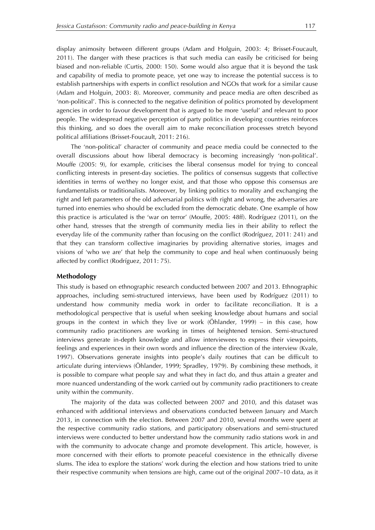display animosity between different groups (Adam and Holguin, 2003: 4; Brisset-Foucault, 2011). The danger with these practices is that such media can easily be criticised for being biased and non-reliable (Curtis, 2000: 150). Some would also argue that it is beyond the task and capability of media to promote peace, yet one way to increase the potential success is to establish partnerships with experts in conflict resolution and NGOs that work for a similar cause (Adam and Holguin, 2003: 8). Moreover, community and peace media are often described as 'non-political'. This is connected to the negative definition of politics promoted by development agencies in order to favour development that is argued to be more 'useful' and relevant to poor people. The widespread negative perception of party politics in developing countries reinforces this thinking, and so does the overall aim to make reconciliation processes stretch beyond political affiliations (Brisset-Foucault, 2011: 216).

The 'non-political' character of community and peace media could be connected to the overall discussions about how liberal democracy is becoming increasingly 'non-political'. Mouffe (2005: 9), for example, criticises the liberal consensus model for trying to conceal conflicting interests in present-day societies. The politics of consensus suggests that collective identities in terms of we/they no longer exist, and that those who oppose this consensus are fundamentalists or traditionalists. Moreover, by linking politics to morality and exchanging the right and left parameters of the old adversarial politics with right and wrong, the adversaries are turned into enemies who should be excluded from the democratic debate. One example of how this practice is articulated is the 'war on terror' (Mouffe, 2005: 48ff). Rodríguez (2011), on the other hand, stresses that the strength of community media lies in their ability to reflect the everyday life of the community rather than focusing on the conflict (Rodríguez, 2011: 241) and that they can transform collective imaginaries by providing alternative stories, images and visions of 'who we are' that help the community to cope and heal when continuously being affected by conflict (Rodríguez, 2011: 75).

## **Methodology**

This study is based on ethnographic research conducted between 2007 and 2013. Ethnographic approaches, including semi-structured interviews, have been used by Rodríguez (2011) to understand how community media work in order to facilitate reconciliation. It is a methodological perspective that is useful when seeking knowledge about humans and social groups in the context in which they live or work (Öhlander, 1999) – in this case, how community radio practitioners are working in times of heightened tension. Semi-structured interviews generate in-depth knowledge and allow interviewees to express their viewpoints, feelings and experiences in their own words and influence the direction of the interview (Kvale, 1997). Observations generate insights into people's daily routines that can be difficult to articulate during interviews (Öhlander, 1999; Spradley, 1979). By combining these methods, it is possible to compare what people say and what they in fact do, and thus attain a greater and more nuanced understanding of the work carried out by community radio practitioners to create unity within the community.

The majority of the data was collected between 2007 and 2010, and this dataset was enhanced with additional interviews and observations conducted between January and March 2013, in connection with the election. Between 2007 and 2010, several months were spent at the respective community radio stations, and participatory observations and semi-structured interviews were conducted to better understand how the community radio stations work in and with the community to advocate change and promote development. This article, however, is more concerned with their efforts to promote peaceful coexistence in the ethnically diverse slums. The idea to explore the stations' work during the election and how stations tried to unite their respective community when tensions are high, came out of the original 2007–10 data, as it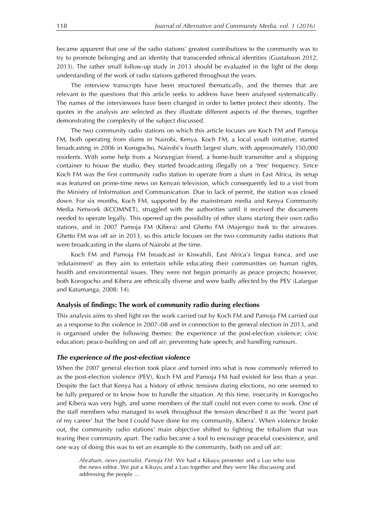became apparent that one of the radio stations' greatest contributions to the community was to try to promote belonging and an identity that transcended ethnical identities (Gustafsson 2012, 2013). The rather small follow-up study in 2013 should be evaluated in the light of the deep understanding of the work of radio stations gathered throughout the years.

The interview transcripts have been structured thematically, and the themes that are relevant to the questions that this article seeks to address have been analysed systematically. The names of the interviewees have been changed in order to better protect their identity. The quotes in the analysis are selected as they illustrate different aspects of the themes, together demonstrating the complexity of the subject discussed.

The two community radio stations on which this article focuses are Koch FM and Pamoja FM, both operating from slums in Nairobi, Kenya. Koch FM, a local youth initiative, started broadcasting in 2006 in Korogocho, Nairobi's fourth largest slum, with approximately 150,000 residents. With some help from a Norwegian friend, a home-built transmitter and a shipping container to house the studio, they started broadcasting illegally on a 'free' frequency. Since Koch FM was the first community radio station to operate from a slum in East Africa, its setup was featured on prime-time news on Kenyan television, which consequently led to a visit from the Ministry of Information and Communication. Due to lack of permit, the station was closed down. For six months, Koch FM, supported by the mainstream media and Kenya Community Media Network (KCOMNET), struggled with the authorities until it received the documents needed to operate legally. This opened up the possibility of other slums starting their own radio stations, and in 2007 Pamoja FM (Kibera) and Ghetto FM (Majengo) took to the airwaves. Ghetto FM was off air in 2013, so this article focuses on the two community radio stations that were broadcasting in the slums of Nairobi at the time.

Koch FM and Pamoja FM broadcast in Kiswahili, East Africa's lingua franca, and use 'edutainment' as they aim to entertain while educating their communities on human rights, health and environmental issues. They were not begun primarily as peace projects; however, both Korogocho and Kibera are ethnically diverse and were badly affected by the PEV (Lafargue and Katumanga, 2008: 14).

## **Analysis of findings: The work of community radio during elections**

This analysis aims to shed light on the work carried out by Koch FM and Pamoja FM carried out as a response to the violence in 2007–08 and in connection to the general election in 2013, and is organised under the following themes: the experience of the post-election violence; civic education; peace-building on and off air; preventing hate speech; and handling rumours.

## *The experience of the post-election violence*

When the 2007 general election took place and turned into what is now commonly referred to as the post-election violence (PEV), Koch FM and Pamoja FM had existed for less than a year. Despite the fact that Kenya has a history of ethnic tensions during elections, no one seemed to be fully prepared or to know how to handle the situation. At this time, insecurity in Korogocho and Kibera was very high, and some members of the staff could not even come to work. One of the staff members who managed to work throughout the tension described it as the 'worst part of my career' but 'the best I could have done for my community, Kibera'. When violence broke out, the community radio stations' main objective shifted to fighting the tribalism that was tearing their community apart. The radio became a tool to encourage peaceful coexistence, and one way of doing this was to set an example to the community, both on and off air:

*Abraham, news journalist, Pamoja FM:* We had a Kikuyu presenter and a Luo who was the news editor. We put a Kikuyu and a Luo together and they were like discussing and addressing the people …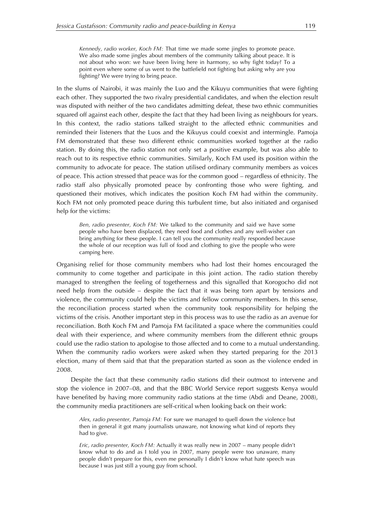*Kennedy, radio worker, Koch FM:* That time we made some jingles to promote peace. We also made some jingles about members of the community talking about peace. It is not about who won: we have been living here in harmony, so why fight today? To a point even where some of us went to the battlefield not fighting but asking why are you fighting? We were trying to bring peace.

In the slums of Nairobi, it was mainly the Luo and the Kikuyu communities that were fighting each other. They supported the two rivalry presidential candidates, and when the election result was disputed with neither of the two candidates admitting defeat, these two ethnic communities squared off against each other, despite the fact that they had been living as neighbours for years. In this context, the radio stations talked straight to the affected ethnic communities and reminded their listeners that the Luos and the Kikuyus could coexist and intermingle. Pamoja FM demonstrated that these two different ethnic communities worked together at the radio station. By doing this, the radio station not only set a positive example, but was also able to reach out to its respective ethnic communities. Similarly, Koch FM used its position within the community to advocate for peace. The station utilised ordinary community members as voices of peace. This action stressed that peace was for the common good – regardless of ethnicity. The radio staff also physically promoted peace by confronting those who were fighting, and questioned their motives, which indicates the position Koch FM had within the community. Koch FM not only promoted peace during this turbulent time, but also initiated and organised help for the victims:

*Ben, radio presenter, Koch FM:* We talked to the community and said we have some people who have been displaced, they need food and clothes and any well-wisher can bring anything for these people. I can tell you the community really responded because the whole of our reception was full of food and clothing to give the people who were camping here.

Organising relief for those community members who had lost their homes encouraged the community to come together and participate in this joint action. The radio station thereby managed to strengthen the feeling of togetherness and this signalled that Korogocho did not need help from the outside – despite the fact that it was being torn apart by tensions and violence, the community could help the victims and fellow community members. In this sense, the reconciliation process started when the community took responsibility for helping the victims of the crisis. Another important step in this process was to use the radio as an avenue for reconciliation. Both Koch FM and Pamoja FM facilitated a space where the communities could deal with their experience, and where community members from the different ethnic groups could use the radio station to apologise to those affected and to come to a mutual understanding. When the community radio workers were asked when they started preparing for the 2013 election, many of them said that that the preparation started as soon as the violence ended in 2008.

Despite the fact that these community radio stations did their outmost to intervene and stop the violence in 2007–08, and that the BBC World Service report suggests Kenya would have benefited by having more community radio stations at the time (Abdi and Deane, 2008), the community media practitioners are self-critical when looking back on their work:

*Alex, radio presenter, Pamoja FM:* For sure we managed to quell down the violence but then in general it got many journalists unaware, not knowing what kind of reports they had to give.

*Eric, radio presenter, Koch FM:* Actually it was really new in 2007 – many people didn't know what to do and as I told you in 2007, many people were too unaware, many people didn't prepare for this, even me personally I didn't know what hate speech was because I was just still a young guy from school.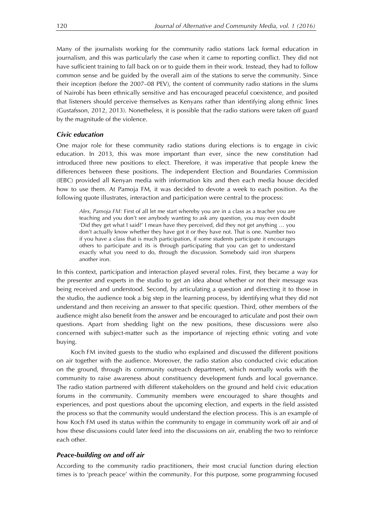Many of the journalists working for the community radio stations lack formal education in journalism, and this was particularly the case when it came to reporting conflict. They did not have sufficient training to fall back on or to guide them in their work. Instead, they had to follow common sense and be guided by the overall aim of the stations to serve the community. Since their inception (before the 2007–08 PEV), the content of community radio stations in the slums of Nairobi has been ethnically sensitive and has encouraged peaceful coexistence, and posited that listeners should perceive themselves as Kenyans rather than identifying along ethnic lines (Gustafsson, 2012, 2013). Nonetheless, it is possible that the radio stations were taken off guard by the magnitude of the violence.

# *Civic education*

One major role for these community radio stations during elections is to engage in civic education. In 2013, this was more important than ever, since the new constitution had introduced three new positions to elect. Therefore, it was imperative that people knew the differences between these positions. The independent Election and Boundaries Commission (IEBC) provided all Kenyan media with information kits and then each media house decided how to use them. At Pamoja FM, it was decided to devote a week to each position. As the following quote illustrates, interaction and participation were central to the process:

*Alex, Pamoja FM:* First of all let me start whereby you are in a class as a teacher you are teaching and you don't see anybody wanting to ask any question, you may even doubt 'Did they get what I said?' I mean have they perceived, did they not get anything … you don't actually know whether they have got it or they have not. That is one. Number two if you have a class that is much participation, if some students participate it encourages others to participate and its is through participating that you can get to understand exactly what you need to do, through the discussion. Somebody said iron sharpens another iron.

In this context, participation and interaction played several roles. First, they became a way for the presenter and experts in the studio to get an idea about whether or not their message was being received and understood. Second, by articulating a question and directing it to those in the studio, the audience took a big step in the learning process, by identifying what they did not understand and then receiving an answer to that specific question. Third, other members of the audience might also benefit from the answer and be encouraged to articulate and post their own questions. Apart from shedding light on the new positions, these discussions were also concerned with subject-matter such as the importance of rejecting ethnic voting and vote buying.

Koch FM invited guests to the studio who explained and discussed the different positions on air together with the audience. Moreover, the radio station also conducted civic education on the ground, through its community outreach department, which normally works with the community to raise awareness about constituency development funds and local governance. The radio station partnered with different stakeholders on the ground and held civic education forums in the community. Community members were encouraged to share thoughts and experiences, and post questions about the upcoming election, and experts in the field assisted the process so that the community would understand the election process. This is an example of how Koch FM used its status within the community to engage in community work off air and of how these discussions could later feed into the discussions on air, enabling the two to reinforce each other*.*

#### *Peace-building on and off air*

According to the community radio practitioners, their most crucial function during election times is to 'preach peace' within the community. For this purpose, some programming focused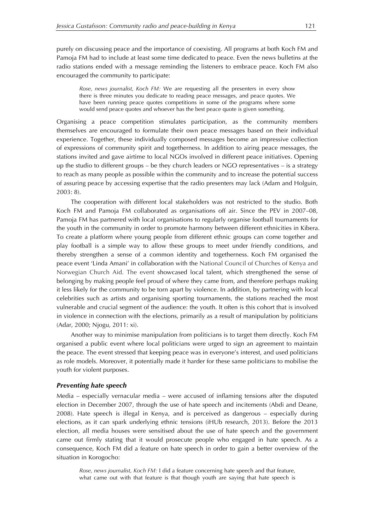purely on discussing peace and the importance of coexisting. All programs at both Koch FM and Pamoja FM had to include at least some time dedicated to peace. Even the news bulletins at the radio stations ended with a message reminding the listeners to embrace peace. Koch FM also encouraged the community to participate:

*Rose, news journalist, Koch FM:* We are requesting all the presenters in every show there is three minutes you dedicate to reading peace messages, and peace quotes. We have been running peace quotes competitions in some of the programs where some would send peace quotes and whoever has the best peace quote is given something.

Organising a peace competition stimulates participation, as the community members themselves are encouraged to formulate their own peace messages based on their individual experience. Together, these individually composed messages become an impressive collection of expressions of community spirit and togetherness. In addition to airing peace messages, the stations invited and gave airtime to local NGOs involved in different peace initiatives. Opening up the studio to different groups – be they church leaders or NGO representatives – is a strategy to reach as many people as possible within the community and to increase the potential success of assuring peace by accessing expertise that the radio presenters may lack (Adam and Holguin, 2003: 8).

The cooperation with different local stakeholders was not restricted to the studio. Both Koch FM and Pamoja FM collaborated as organisations off air. Since the PEV in 2007–08, Pamoja FM has partnered with local organisations to regularly organise football tournaments for the youth in the community in order to promote harmony between different ethnicities in Kibera. To create a platform where young people from different ethnic groups can come together and play football is a simple way to allow these groups to meet under friendly conditions, and thereby strengthen a sense of a common identity and togetherness. Koch FM organised the peace event 'Linda Amani' in collaboration with the National Council of Churches of Kenya and Norwegian Church Aid. The event showcased local talent, which strengthened the sense of belonging by making people feel proud of where they came from, and therefore perhaps making it less likely for the community to be torn apart by violence. In addition, by partnering with local celebrities such as artists and organising sporting tournaments, the stations reached the most vulnerable and crucial segment of the audience: the youth. It often is this cohort that is involved in violence in connection with the elections, primarily as a result of manipulation by politicians (Adar, 2000; Njogu, 2011: xi).

Another way to minimise manipulation from politicians is to target them directly. Koch FM organised a public event where local politicians were urged to sign an agreement to maintain the peace. The event stressed that keeping peace was in everyone's interest, and used politicians as role models. Moreover, it potentially made it harder for these same politicians to mobilise the youth for violent purposes.

#### *Preventing hate speech*

Media – especially vernacular media – were accused of inflaming tensions after the disputed election in December 2007, through the use of hate speech and incitements (Abdi and Deane, 2008). Hate speech is illegal in Kenya, and is perceived as dangerous – especially during elections, as it can spark underlying ethnic tensions (iHUb research, 2013). Before the 2013 election, all media houses were sensitised about the use of hate speech and the government came out firmly stating that it would prosecute people who engaged in hate speech. As a consequence, Koch FM did a feature on hate speech in order to gain a better overview of the situation in Korogocho:

*Rose, news journalist, Koch FM:* I did a feature concerning hate speech and that feature, what came out with that feature is that though youth are saying that hate speech is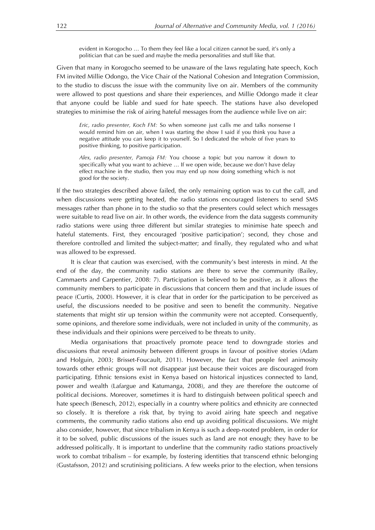evident in Korogocho … To them they feel like a local citizen cannot be sued, it's only a politician that can be sued and maybe the media personalities and stuff like that.

Given that many in Korogocho seemed to be unaware of the laws regulating hate speech, Koch FM invited Millie Odongo, the Vice Chair of the National Cohesion and Integration Commission, to the studio to discuss the issue with the community live on air. Members of the community were allowed to post questions and share their experiences, and Millie Odongo made it clear that anyone could be liable and sued for hate speech. The stations have also developed strategies to minimise the risk of airing hateful messages from the audience while live on air:

*Eric, radio presenter, Koch FM:* So when someone just calls me and talks nonsense I would remind him on air, when I was starting the show I said if you think you have a negative attitude you can keep it to yourself. So I dedicated the whole of five years to positive thinking, to positive participation.

*Alex, radio presenter, Pamoja FM:* You choose a topic but you narrow it down to specifically what you want to achieve … If we open wide, because we don't have delay effect machine in the studio, then you may end up now doing something which is not good for the society.

If the two strategies described above failed, the only remaining option was to cut the call, and when discussions were getting heated, the radio stations encouraged listeners to send SMS messages rather than phone in to the studio so that the presenters could select which messages were suitable to read live on air. In other words, the evidence from the data suggests community radio stations were using three different but similar strategies to minimise hate speech and hateful statements. First, they encouraged 'positive participation'; second, they chose and therefore controlled and limited the subject-matter; and finally, they regulated who and what was allowed to be expressed.

It is clear that caution was exercised, with the community's best interests in mind. At the end of the day, the community radio stations are there to serve the community (Bailey, Cammaerts and Carpentier, 2008: 7). Participation is believed to be positive, as it allows the community members to participate in discussions that concern them and that include issues of peace (Curtis, 2000). However, it is clear that in order for the participation to be perceived as useful, the discussions needed to be positive and seen to benefit the community. Negative statements that might stir up tension within the community were not accepted. Consequently, some opinions, and therefore some individuals, were not included in unity of the community, as these individuals and their opinions were perceived to be threats to unity.

Media organisations that proactively promote peace tend to downgrade stories and discussions that reveal animosity between different groups in favour of positive stories (Adam and Holguin, 2003; Brisset-Foucault, 2011). However, the fact that people feel animosity towards other ethnic groups will not disappear just because their voices are discouraged from participating. Ethnic tensions exist in Kenya based on historical injustices connected to land, power and wealth (Lafargue and Katumanga, 2008), and they are therefore the outcome of political decisions. Moreover, sometimes it is hard to distinguish between political speech and hate speech (Benesch, 2012), especially in a country where politics and ethnicity are connected so closely. It is therefore a risk that, by trying to avoid airing hate speech and negative comments, the community radio stations also end up avoiding political discussions. We might also consider, however, that since tribalism in Kenya is such a deep-rooted problem, in order for it to be solved, public discussions of the issues such as land are not enough; they have to be addressed politically. It is important to underline that the community radio stations proactively work to combat tribalism – for example, by fostering identities that transcend ethnic belonging (Gustafsson, 2012) and scrutinising politicians. A few weeks prior to the election, when tensions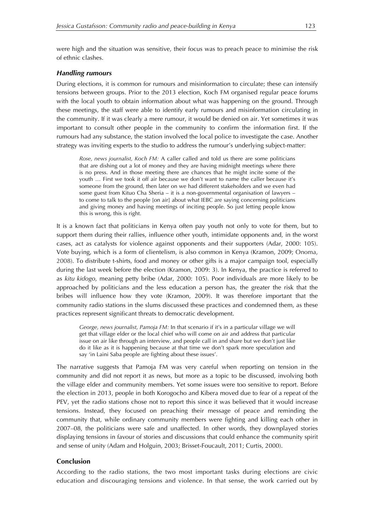were high and the situation was sensitive, their focus was to preach peace to minimise the risk of ethnic clashes.

## *Handling rumours*

During elections, it is common for rumours and misinformation to circulate; these can intensify tensions between groups. Prior to the 2013 election, Koch FM organised regular peace forums with the local youth to obtain information about what was happening on the ground. Through these meetings, the staff were able to identify early rumours and misinformation circulating in the community. If it was clearly a mere rumour, it would be denied on air. Yet sometimes it was important to consult other people in the community to confirm the information first. If the rumours had any substance, the station involved the local police to investigate the case. Another strategy was inviting experts to the studio to address the rumour's underlying subject-matter:

*Rose, news journalist, Koch FM:* A caller called and told us there are some politicians that are dishing out a lot of money and they are having midnight meetings where there is no press. And in those meeting there are chances that he might incite some of the youth … First we took it off air because we don't want to name the caller because it's someone from the ground, then later on we had different stakeholders and we even had some guest from Kituo Cha Sheria – it is a non-governmental organisation of lawyers – to come to talk to the people [on air] about what IEBC are saying concerning politicians and giving money and having meetings of inciting people. So just letting people know this is wrong, this is right.

It is a known fact that politicians in Kenya often pay youth not only to vote for them, but to support them during their rallies, influence other youth, intimidate opponents and, in the worst cases, act as catalysts for violence against opponents and their supporters (Adar, 2000: 105). Vote buying, which is a form of clientelism, is also common in Kenya (Kramon, 2009; Onoma, 2008). To distribute t-shirts, food and money or other gifts is a major campaign tool, especially during the last week before the election (Kramon, 2009: 3). In Kenya, the practice is referred to as *kitu kidogo*, meaning petty bribe (Adar, 2000: 105). Poor individuals are more likely to be approached by politicians and the less education a person has, the greater the risk that the bribes will influence how they vote (Kramon, 2009). It was therefore important that the community radio stations in the slums discussed these practices and condemned them, as these practices represent significant threats to democratic development.

*George, news journalist, Pamoja FM:* In that scenario if it's in a particular village we will get that village elder or the local chief who will come on air and address that particular issue on air like through an interview, and people call in and share but we don't just like do it like as it is happening because at that time we don't spark more speculation and say 'in Laini Saba people are fighting about these issues'.

The narrative suggests that Pamoja FM was very careful when reporting on tension in the community and did not report it as news, but more as a topic to be discussed, involving both the village elder and community members. Yet some issues were too sensitive to report. Before the election in 2013, people in both Korogocho and Kibera moved due to fear of a repeat of the PEV, yet the radio stations chose not to report this since it was believed that it would increase tensions. Instead, they focused on preaching their message of peace and reminding the community that, while ordinary community members were fighting and killing each other in 2007–08, the politicians were safe and unaffected. In other words, they downplayed stories displaying tensions in favour of stories and discussions that could enhance the community spirit and sense of unity (Adam and Holguin, 2003; Brisset-Foucault, 2011; Curtis, 2000).

## **Conclusion**

According to the radio stations, the two most important tasks during elections are civic education and discouraging tensions and violence. In that sense, the work carried out by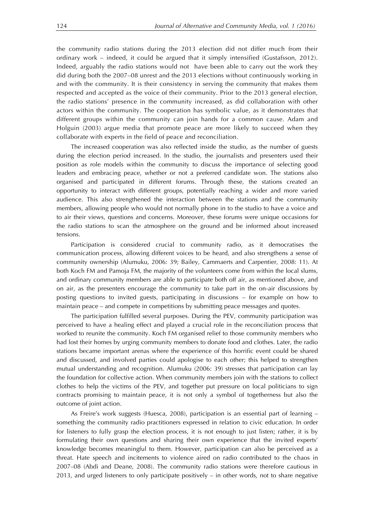the community radio stations during the 2013 election did not differ much from their ordinary work – indeed, it could be argued that it simply intensified (Gustafsson, 2012). Indeed, arguably the radio stations would not have been able to carry out the work they did during both the 2007–08 unrest and the 2013 elections without continuously working in and with the community. It is their consistency in serving the community that makes them respected and accepted as the voice of their community. Prior to the 2013 general election, the radio stations' presence in the community increased, as did collaboration with other actors within the community. The cooperation has symbolic value, as it demonstrates that different groups within the community can join hands for a common cause. Adam and Holguin (2003) argue media that promote peace are more likely to succeed when they collaborate with experts in the field of peace and reconciliation.

The increased cooperation was also reflected inside the studio, as the number of guests during the election period increased. In the studio, the journalists and presenters used their position as role models within the community to discuss the importance of selecting good leaders and embracing peace, whether or not a preferred candidate won. The stations also organised and participated in different forums. Through these, the stations created an opportunity to interact with different groups, potentially reaching a wider and more varied audience. This also strengthened the interaction between the stations and the community members, allowing people who would not normally phone in to the studio to have a voice and to air their views, questions and concerns. Moreover, these forums were unique occasions for the radio stations to scan the atmosphere on the ground and be informed about increased tensions.

Participation is considered crucial to community radio, as it democratises the communication process, allowing different voices to be heard, and also strengthens a sense of community ownership (Alumuku, 2006: 39; Bailey, Cammaerts and Carpentier, 2008: 11). At both Koch FM and Pamoja FM, the majority of the volunteers come from within the local slums, and ordinary community members are able to participate both off air, as mentioned above, and on air, as the presenters encourage the community to take part in the on-air discussions by posting questions to invited guests, participating in discussions – for example on how to maintain peace – and compete in competitions by submitting peace messages and quotes.

The participation fulfilled several purposes. During the PEV, community participation was perceived to have a healing effect and played a crucial role in the reconciliation process that worked to reunite the community. Koch FM organised relief to those community members who had lost their homes by urging community members to donate food and clothes. Later, the radio stations became important arenas where the experience of this horrific event could be shared and discussed, and involved parties could apologise to each other; this helped to strengthen mutual understanding and recognition. Alumuku (2006: 39) stresses that participation can lay the foundation for collective action. When community members join with the stations to collect clothes to help the victims of the PEV, and together put pressure on local politicians to sign contracts promising to maintain peace, it is not only a symbol of togetherness but also the outcome of joint action.

As Freire's work suggests (Huesca, 2008), participation is an essential part of learning – something the community radio practitioners expressed in relation to civic education. In order for listeners to fully grasp the election process, it is not enough to just listen; rather, it is by formulating their own questions and sharing their own experience that the invited experts' knowledge becomes meaningful to them. However, participation can also be perceived as a threat. Hate speech and incitements to violence aired on radio contributed to the chaos in 2007–08 (Abdi and Deane, 2008). The community radio stations were therefore cautious in 2013, and urged listeners to only participate positively – in other words, not to share negative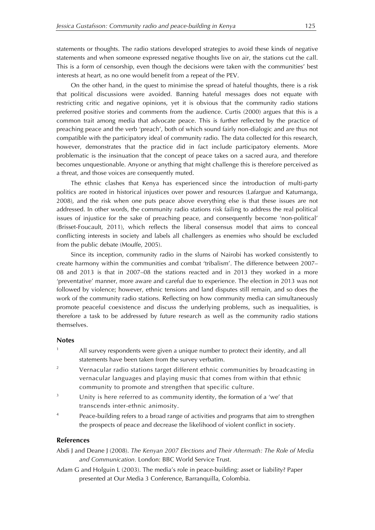statements or thoughts. The radio stations developed strategies to avoid these kinds of negative statements and when someone expressed negative thoughts live on air, the stations cut the call. This is a form of censorship, even though the decisions were taken with the communities' best interests at heart, as no one would benefit from a repeat of the PEV.

On the other hand, in the quest to minimise the spread of hateful thoughts, there is a risk that political discussions were avoided. Banning hateful messages does not equate with restricting critic and negative opinions, yet it is obvious that the community radio stations preferred positive stories and comments from the audience. Curtis (2000) argues that this is a common trait among media that advocate peace. This is further reflected by the practice of preaching peace and the verb 'preach', both of which sound fairly non-dialogic and are thus not compatible with the participatory ideal of community radio. The data collected for this research, however, demonstrates that the practice did in fact include participatory elements. More problematic is the insinuation that the concept of peace takes on a sacred aura, and therefore becomes unquestionable. Anyone or anything that might challenge this is therefore perceived as a threat, and those voices are consequently muted.

The ethnic clashes that Kenya has experienced since the introduction of multi-party politics are rooted in historical injustices over power and resources (Lafargue and Katumanga, 2008), and the risk when one puts peace above everything else is that these issues are not addressed. In other words, the community radio stations risk failing to address the real political issues of injustice for the sake of preaching peace, and consequently become 'non-political' (Brisset-Foucault, 2011), which reflects the liberal consensus model that aims to conceal conflicting interests in society and labels all challengers as enemies who should be excluded from the public debate (Mouffe, 2005).

Since its inception, community radio in the slums of Nairobi has worked consistently to create harmony within the communities and combat 'tribalism'. The difference between 2007– 08 and 2013 is that in 2007–08 the stations reacted and in 2013 they worked in a more 'preventative' manner, more aware and careful due to experience. The election in 2013 was not followed by violence; however, ethnic tensions and land disputes still remain, and so does the work of the community radio stations. Reflecting on how community media can simultaneously promote peaceful coexistence and discuss the underlying problems, such as inequalities, is therefore a task to be addressed by future research as well as the community radio stations themselves.

## **Notes**

- <sup>1</sup> All survey respondents were given a unique number to protect their identity, and all statements have been taken from the survey verbatim.
- <sup>2</sup> Vernacular radio stations target different ethnic communities by broadcasting in vernacular languages and playing music that comes from within that ethnic community to promote and strengthen that specific culture.
- $3$  Unity is here referred to as community identity, the formation of a 'we' that transcends inter-ethnic animosity.
- <sup>4</sup> Peace-building refers to a broad range of activities and programs that aim to strengthen the prospects of peace and decrease the likelihood of violent conflict in society.

## **References**

- Abdi J and Deane J (2008). *The Kenyan 2007 Elections and Their Aftermath: The Role of Media and Communication.* London: BBC World Service Trust.
- Adam G and Holguin L (2003). The media's role in peace-building: asset or liability? Paper presented at Our Media 3 Conference, Barranquilla, Colombia.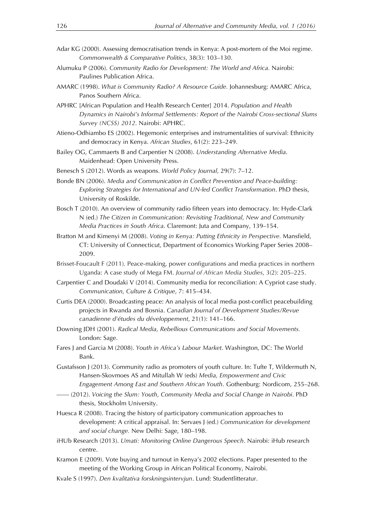- Adar KG (2000). Assessing democratisation trends in Kenya: A post-mortem of the Moi regime. *Commonwealth & Comparative Politics*, 38(3): 103–130.
- Alumuku P (2006). *Community Radio for Development: The World and Africa.* Nairobi: Paulines Publication Africa.
- AMARC (1998). *What is Community Radio? A Resource Guide.* Johannesburg: AMARC Africa, Panos Southern Africa.
- APHRC [African Population and Health Research Center] 2014. *Population and Health Dynamics in Nairobi's Informal Settlements: Report of the Nairobi Cross-sectional Slums Survey (NCSS) 2012*. Nairobi: APHRC.
- Atieno-Odhiambo ES (2002). Hegemonic enterprises and instrumentalities of survival: Ethnicity and democracy in Kenya. *African Studies*, 61(2): 223–249.
- Bailey OG, Cammaerts B and Carpentier N (2008). *Understanding Alternative Media*. Maidenhead: Open University Press.
- Benesch S (2012). Words as weapons. *World Policy Journal*, 29(7): 7–12.
- Bonde BN (2006). *Media and Communication in Conflict Prevention and Peace-building: Exploring Strategies for International and UN-led Conflict Transformation*. PhD thesis, University of Roskilde.
- Bosch T (2010). An overview of community radio fifteen years into democracy. In: Hyde-Clark N (ed.) *The Citizen in Communication: Revisiting Traditional, New and Community Media Practices in South Africa*. Claremont: Juta and Company, 139–154.
- Bratton M and Kimenyi M (2008). *Voting in Kenya: Putting Ethnicity in Perspective.* Mansfield, CT: University of Connecticut, Department of Economics Working Paper Series 2008– 2009.
- Brisset-Foucault F (2011). Peace-making, power configurations and media practices in northern Uganda: A case study of Mega FM. *Journal of African Media Studies*, 3(2): 205–225.
- Carpentier C and Doudaki V (2014). Community media for reconciliation: A Cypriot case study. *Communication, Culture & Critique*, 7: 415–434.
- Curtis DEA (2000). Broadcasting peace: An analysis of local media post-conflict peacebuilding projects in Rwanda and Bosnia. *Canadian Journal of Development Studies/Revue canadienne d'études du développement*, 21(1): 141–166.
- Downing JDH (2001). *Radical Media, Rebellious Communications and Social Movements.*  London: Sage.
- Fares J and Garcia M (2008). *Youth in Africa's Labour Market*. Washington, DC: The World Bank.
- Gustafsson J (2013). Community radio as promoters of youth culture. In: Tufte T, Wildermuth N, Hansen-Skovmoes AS and Mitullah W (eds) *Media, Empowerment and Civic Engagement Among East and Southern African Youth*. Gothenburg: Nordicom, 255–268.
- —— (2012). *Voicing the Slum: Youth, Community Media and Social Change in Nairobi*. PhD thesis, Stockholm University.
- Huesca R (2008). Tracing the history of participatory communication approaches to development: A critical appraisal. In: Servaes J (ed.) *Communication for development and social change.* New Delhi: Sage, 180–198.
- iHUb Research (2013). *Umati: Monitoring Online Dangerous Speech*. Nairobi: iHub research centre.
- Kramon E (2009). Vote buying and turnout in Kenya's 2002 elections. Paper presented to the meeting of the Working Group in African Political Economy, Nairobi.
- Kvale S (1997). *Den kvalitativa forskningsintervjun*. Lund: Studentlitteratur.